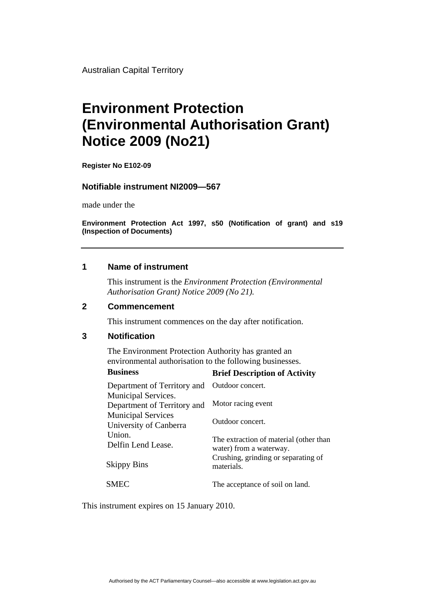Australian Capital Territory

# **Environment Protection (Environmental Authorisation Grant) Notice 2009 (No21)**

**Register No E102-09** 

### **Notifiable instrument NI2009—567**

made under the

**Environment Protection Act 1997, s50 (Notification of grant) and s19 (Inspection of Documents)** 

## **1 Name of instrument**

This instrument is the *Environment Protection (Environmental Authorisation Grant) Notice 2009 (No 21).* 

#### **2 Commencement**

This instrument commences on the day after notification.

## **3 Notification**

The Environment Protection Authority has granted an environmental authorisation to the following businesses.

| <b>Business</b>                                     | <b>Brief Description of Activity</b>                              |
|-----------------------------------------------------|-------------------------------------------------------------------|
| Department of Territory and                         | Outdoor concert.                                                  |
| Municipal Services.<br>Department of Territory and  | Motor racing event                                                |
| <b>Municipal Services</b><br>University of Canberra | Outdoor concert.                                                  |
| Union.<br>Delfin Lend Lease.                        | The extraction of material (other than<br>water) from a waterway. |
| <b>Skippy Bins</b>                                  | Crushing, grinding or separating of<br>materials.                 |
| <b>SMEC</b>                                         | The acceptance of soil on land.                                   |

This instrument expires on 15 January 2010.